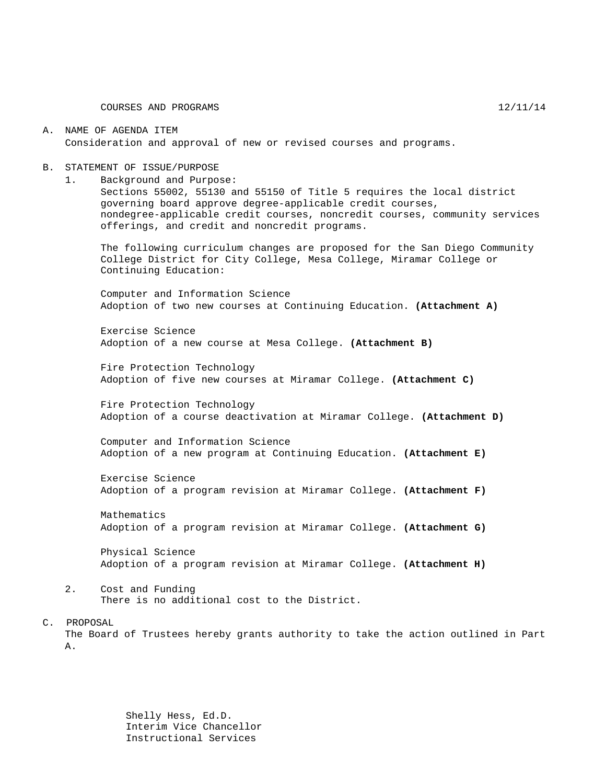#### A. NAME OF AGENDA ITEM Consideration and approval of new or revised courses and programs.

#### B. STATEMENT OF ISSUE/PURPOSE

1. Background and Purpose:

Sections 55002, 55130 and 55150 of Title 5 requires the local district governing board approve degree-applicable credit courses, nondegree-applicable credit courses, noncredit courses, community services offerings, and credit and noncredit programs.

The following curriculum changes are proposed for the San Diego Community College District for City College, Mesa College, Miramar College or Continuing Education:

Computer and Information Science Adoption of two new courses at Continuing Education. **(Attachment A)**

Exercise Science Adoption of a new course at Mesa College. **(Attachment B)**

Fire Protection Technology Adoption of five new courses at Miramar College. **(Attachment C)**

Fire Protection Technology Adoption of a course deactivation at Miramar College. **(Attachment D)**

Computer and Information Science Adoption of a new program at Continuing Education. **(Attachment E)**

Exercise Science Adoption of a program revision at Miramar College. **(Attachment F)**

Mathematics Adoption of a program revision at Miramar College. **(Attachment G)**

Physical Science Adoption of a program revision at Miramar College. **(Attachment H)**

2. Cost and Funding There is no additional cost to the District.

#### C. PROPOSAL

The Board of Trustees hereby grants authority to take the action outlined in Part A.

> Shelly Hess, Ed.D. Interim Vice Chancellor Instructional Services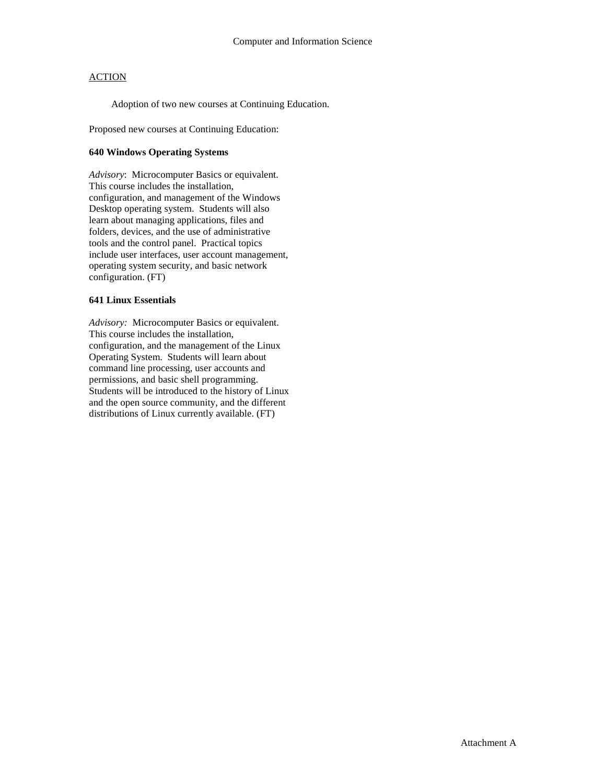Adoption of two new courses at Continuing Education.

Proposed new courses at Continuing Education:

#### **640 Windows Operating Systems**

*Advisory*: Microcomputer Basics or equivalent. This course includes the installation, configuration, and management of the Windows Desktop operating system. Students will also learn about managing applications, files and folders, devices, and the use of administrative tools and the control panel. Practical topics include user interfaces, user account management, operating system security, and basic network configuration. (FT)

#### **641 Linux Essentials**

*Advisory:* Microcomputer Basics or equivalent. This course includes the installation, configuration, and the management of the Linux Operating System. Students will learn about command line processing, user accounts and permissions, and basic shell programming. Students will be introduced to the history of Linux and the open source community, and the different distributions of Linux currently available. (FT)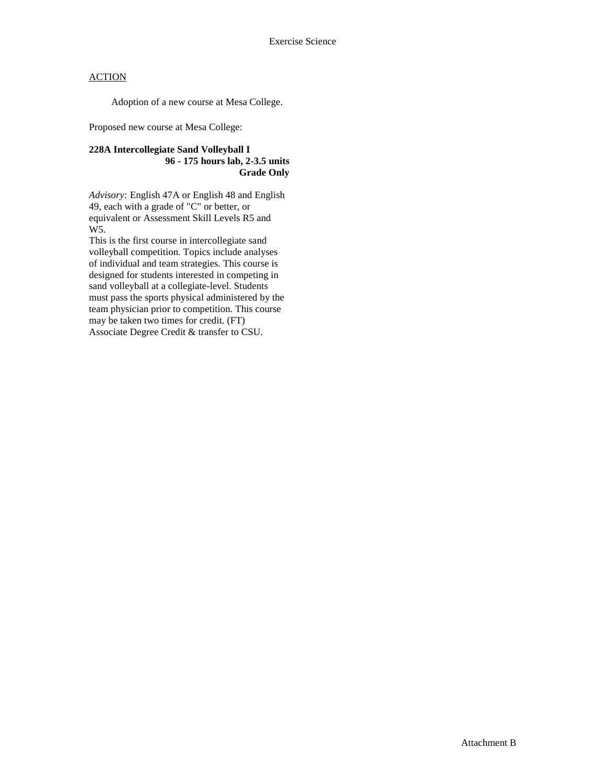Adoption of a new course at Mesa College.

Proposed new course at Mesa College:

### **228A Intercollegiate Sand Volleyball I 96 - 175 hours lab, 2-3.5 units Grade Only**

*Advisory:* English 47A or English 48 and English 49, each with a grade of "C" or better, or equivalent or Assessment Skill Levels R5 and W5.

This is the first course in intercollegiate sand volleyball competition. Topics include analyses of individual and team strategies. This course is designed for students interested in competing in sand volleyball at a collegiate-level. Students must pass the sports physical administered by the team physician prior to competition. This course may be taken two times for credit. (FT) Associate Degree Credit & transfer to CSU.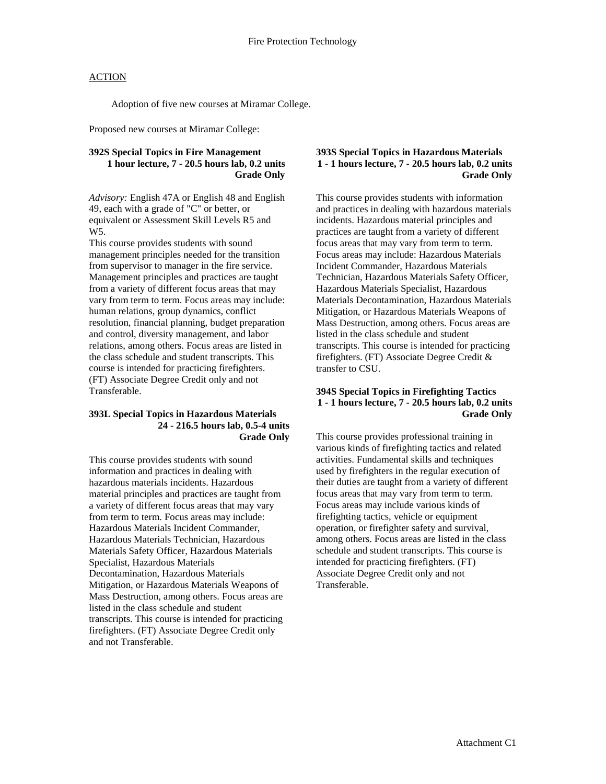Adoption of five new courses at Miramar College.

Proposed new courses at Miramar College:

### **392S Special Topics in Fire Management 1 hour lecture, 7 - 20.5 hours lab, 0.2 units Grade Only**

*Advisory:* English 47A or English 48 and English 49, each with a grade of "C" or better, or equivalent or Assessment Skill Levels R5 and W5.

This course provides students with sound management principles needed for the transition from supervisor to manager in the fire service. Management principles and practices are taught from a variety of different focus areas that may vary from term to term. Focus areas may include: human relations, group dynamics, conflict resolution, financial planning, budget preparation and control, diversity management, and labor relations, among others. Focus areas are listed in the class schedule and student transcripts. This course is intended for practicing firefighters. (FT) Associate Degree Credit only and not Transferable.

#### **393L Special Topics in Hazardous Materials 24 - 216.5 hours lab, 0.5-4 units Grade Only**

This course provides students with sound information and practices in dealing with hazardous materials incidents. Hazardous material principles and practices are taught from a variety of different focus areas that may vary from term to term. Focus areas may include: Hazardous Materials Incident Commander, Hazardous Materials Technician, Hazardous Materials Safety Officer, Hazardous Materials Specialist, Hazardous Materials Decontamination, Hazardous Materials Mitigation, or Hazardous Materials Weapons of Mass Destruction, among others. Focus areas are listed in the class schedule and student transcripts. This course is intended for practicing firefighters. (FT) Associate Degree Credit only and not Transferable.

#### **393S Special Topics in Hazardous Materials 1 - 1 hours lecture, 7 - 20.5 hours lab, 0.2 units Grade Only**

This course provides students with information and practices in dealing with hazardous materials incidents. Hazardous material principles and practices are taught from a variety of different focus areas that may vary from term to term. Focus areas may include: Hazardous Materials Incident Commander, Hazardous Materials Technician, Hazardous Materials Safety Officer, Hazardous Materials Specialist, Hazardous Materials Decontamination, Hazardous Materials Mitigation, or Hazardous Materials Weapons of Mass Destruction, among others. Focus areas are listed in the class schedule and student transcripts. This course is intended for practicing firefighters. (FT) Associate Degree Credit & transfer to CSU.

#### **394S Special Topics in Firefighting Tactics 1 - 1 hours lecture, 7 - 20.5 hours lab, 0.2 units Grade Only**

This course provides professional training in various kinds of firefighting tactics and related activities. Fundamental skills and techniques used by firefighters in the regular execution of their duties are taught from a variety of different focus areas that may vary from term to term. Focus areas may include various kinds of firefighting tactics, vehicle or equipment operation, or firefighter safety and survival, among others. Focus areas are listed in the class schedule and student transcripts. This course is intended for practicing firefighters. (FT) Associate Degree Credit only and not Transferable.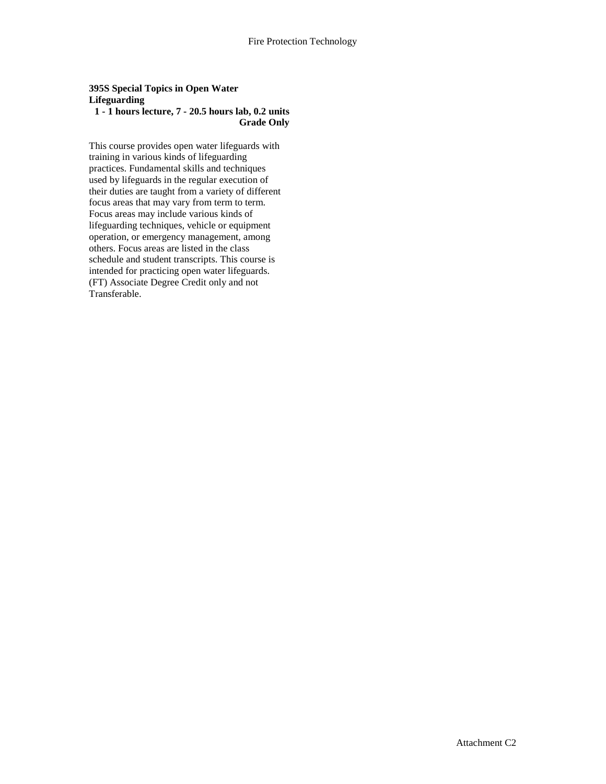## **395S Special Topics in Open Water Lifeguarding**

## **1 - 1 hours lecture, 7 - 20.5 hours lab, 0.2 units Grade Only**

This course provides open water lifeguards with training in various kinds of lifeguarding practices. Fundamental skills and techniques used by lifeguards in the regular execution of their duties are taught from a variety of different focus areas that may vary from term to term. Focus areas may include various kinds of lifeguarding techniques, vehicle or equipment operation, or emergency management, among others. Focus areas are listed in the class schedule and student transcripts. This course is intended for practicing open water lifeguards. (FT) Associate Degree Credit only and not Transferable.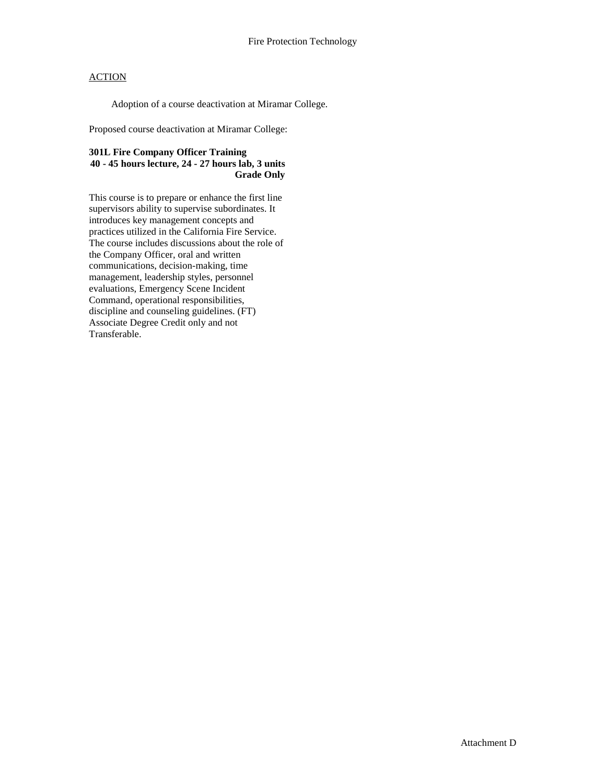Adoption of a course deactivation at Miramar College.

Proposed course deactivation at Miramar College:

## **301L Fire Company Officer Training 40 - 45 hours lecture, 24 - 27 hours lab, 3 units Grade Only**

This course is to prepare or enhance the first line supervisors ability to supervise subordinates. It introduces key management concepts and practices utilized in the California Fire Service. The course includes discussions about the role of the Company Officer, oral and written communications, decision-making, time management, leadership styles, personnel evaluations, Emergency Scene Incident Command, operational responsibilities, discipline and counseling guidelines. (FT) Associate Degree Credit only and not Transferable.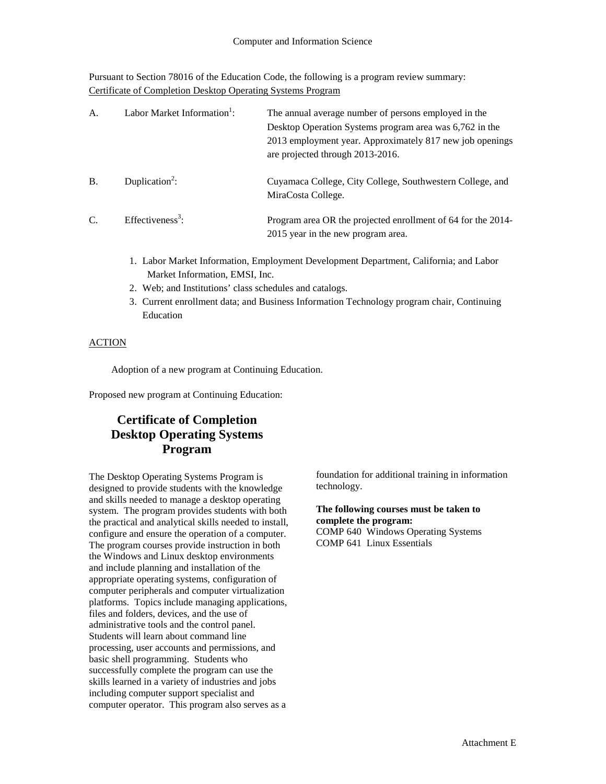Pursuant to Section 78016 of the Education Code, the following is a program review summary: Certificate of Completion Desktop Operating Systems Program

| A.        | Labor Market Information <sup>1</sup> : | The annual average number of persons employed in the<br>Desktop Operation Systems program area was 6,762 in the<br>2013 employment year. Approximately 817 new job openings<br>are projected through 2013-2016. |
|-----------|-----------------------------------------|-----------------------------------------------------------------------------------------------------------------------------------------------------------------------------------------------------------------|
| <b>B.</b> | Duplication <sup>2</sup> :              | Cuyamaca College, City College, Southwestern College, and<br>MiraCosta College.                                                                                                                                 |
| C.        | Effectiveness <sup>3</sup> :            | Program area OR the projected enrollment of 64 for the 2014-<br>2015 year in the new program area.                                                                                                              |

- 1. Labor Market Information, Employment Development Department, California; and Labor Market Information, EMSI, Inc.
- 2. Web; and Institutions' class schedules and catalogs.
- 3. Current enrollment data; and Business Information Technology program chair, Continuing Education

#### **ACTION**

Adoption of a new program at Continuing Education.

Proposed new program at Continuing Education:

## **Certificate of Completion Desktop Operating Systems Program**

The Desktop Operating Systems Program is designed to provide students with the knowledge and skills needed to manage a desktop operating system. The program provides students with both the practical and analytical skills needed to install, configure and ensure the operation of a computer. The program courses provide instruction in both the Windows and Linux desktop environments and include planning and installation of the appropriate operating systems, configuration of computer peripherals and computer virtualization platforms. Topics include managing applications, files and folders, devices, and the use of administrative tools and the control panel. Students will learn about command line processing, user accounts and permissions, and basic shell programming. Students who successfully complete the program can use the skills learned in a variety of industries and jobs including computer support specialist and computer operator. This program also serves as a

foundation for additional training in information technology.

**The following courses must be taken to complete the program:** COMP 640 Windows Operating Systems COMP 641 Linux Essentials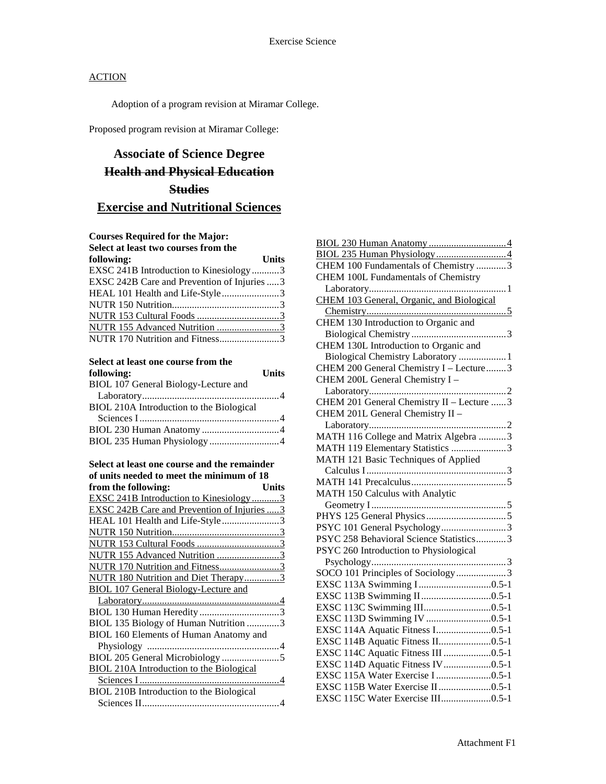Adoption of a program revision at Miramar College.

Proposed program revision at Miramar College:

# **Associate of Science Degree Health and Physical Education Studies Exercise and Nutritional Sciences**

## **Courses Required for the Major:**

| Select at least two courses from the         |              |
|----------------------------------------------|--------------|
| following:                                   | <b>Units</b> |
| EXSC 241B Introduction to Kinesiology3       |              |
| EXSC 242B Care and Prevention of Injuries  3 |              |
| HEAL 101 Health and Life-Style3              |              |
|                                              |              |
|                                              |              |
| NUTR 155 Advanced Nutrition 3                |              |
| NUTR 170 Nutrition and Fitness3              |              |

#### **Select at least one course from the following: Units**

| BIOL 107 General Biology-Lecture and     |  |
|------------------------------------------|--|
|                                          |  |
| BIOL 210A Introduction to the Biological |  |
|                                          |  |
|                                          |  |
| BIOL 235 Human Physiology 4              |  |

| Select at least one course and the remainder       |
|----------------------------------------------------|
| of units needed to meet the minimum of 18          |
| from the following:<br>Units                       |
| <b>EXSC 241B Introduction to Kinesiology3</b>      |
| <b>EXSC 242B Care and Prevention of Injuries 3</b> |
| HEAL 101 Health and Life-Style3                    |
|                                                    |
|                                                    |
| NUTR 155 Advanced Nutrition 3                      |
| NUTR 170 Nutrition and Fitness3                    |
| NUTR 180 Nutrition and Diet Therapy3               |
| <b>BIOL 107 General Biology-Lecture and</b>        |
|                                                    |
|                                                    |
| BIOL 135 Biology of Human Nutrition 3              |
| BIOL 160 Elements of Human Anatomy and             |
|                                                    |
|                                                    |
| <b>BIOL 210A Introduction to the Biological</b>    |
|                                                    |
| BIOL 210B Introduction to the Biological           |
|                                                    |

| CHEM 100 Fundamentals of Chemistry 3      |
|-------------------------------------------|
| CHEM 100L Fundamentals of Chemistry       |
|                                           |
| CHEM 103 General, Organic, and Biological |
|                                           |
| CHEM 130 Introduction to Organic and      |
|                                           |
| CHEM 130L Introduction to Organic and     |
| Biological Chemistry Laboratory  1        |
| CHEM 200 General Chemistry I - Lecture3   |
| CHEM 200L General Chemistry I -           |
|                                           |
| CHEM 201 General Chemistry II - Lecture 3 |
| CHEM 201L General Chemistry II -          |
|                                           |
| MATH 116 College and Matrix Algebra 3     |
| MATH 119 Elementary Statistics 3          |
| MATH 121 Basic Techniques of Applied      |
|                                           |
|                                           |
| MATH 150 Calculus with Analytic           |
|                                           |
|                                           |
| PSYC 101 General Psychology3              |
| PSYC 258 Behavioral Science Statistics3   |
| PSYC 260 Introduction to Physiological    |
|                                           |
| SOCO 101 Principles of Sociology3         |
|                                           |
|                                           |
|                                           |
|                                           |
|                                           |
| EXSC 114B Aquatic Fitness II0.5-1         |
| EXSC 114C Aquatic Fitness III 0.5-1       |
| EXSC 114D Aquatic Fitness IV0.5-1         |
| EXSC 115A Water Exercise I 0.5-1          |
| EXSC 115B Water Exercise II0.5-1          |
| EXSC 115C Water Exercise III0.5-1         |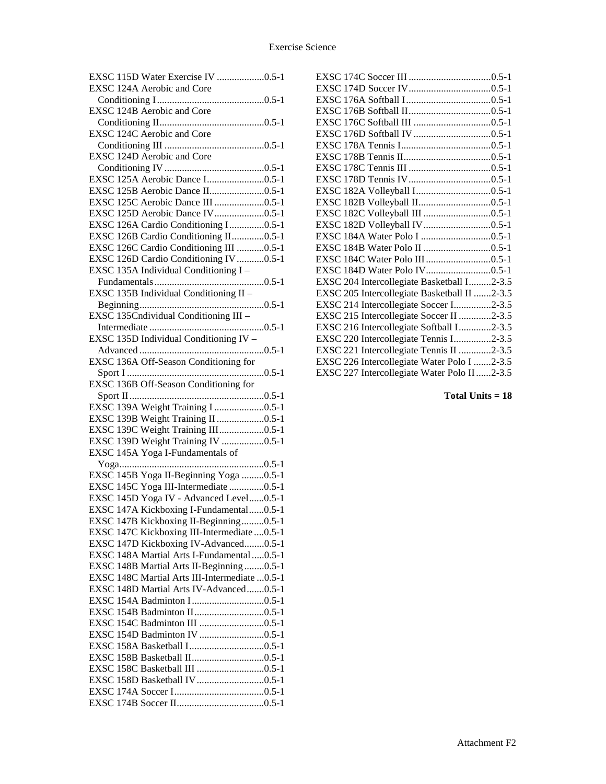| EXSC 115D Water Exercise IV 0.5-1              |
|------------------------------------------------|
| EXSC 124A Aerobic and Core                     |
|                                                |
| EXSC 124B Aerobic and Core                     |
|                                                |
| EXSC 124C Aerobic and Core                     |
|                                                |
|                                                |
| EXSC 124D Aerobic and Core                     |
|                                                |
| EXSC 125A Aerobic Dance I0.5-1                 |
| EXSC 125B Aerobic Dance II0.5-1                |
| EXSC 125C Aerobic Dance III 0.5-1              |
| EXSC 125D Aerobic Dance IV0.5-1                |
| EXSC 126A Cardio Conditioning I0.5-1           |
| EXSC 126B Cardio Conditioning II0.5-1          |
| EXSC 126C Cardio Conditioning III 0.5-1        |
| EXSC 126D Cardio Conditioning IV 0.5-1         |
| EXSC 135A Individual Conditioning I -          |
|                                                |
| EXSC 135B Individual Conditioning II -         |
|                                                |
| EXSC 135Cndividual Conditioning III -          |
|                                                |
|                                                |
| EXSC 135D Individual Conditioning IV -         |
|                                                |
| EXSC 136A Off-Season Conditioning for          |
|                                                |
| EXSC 136B Off-Season Conditioning for          |
|                                                |
| EXSC 139A Weight Training I 0.5-1              |
| EXSC 139B Weight Training II 0.5-1             |
| EXSC 139C Weight Training III0.5-1             |
| EXSC 139D Weight Training IV 0.5-1             |
| EXSC 145A Yoga I-Fundamentals of               |
|                                                |
| EXSC 145B Yoga II-Beginning Yoga 0.5-1         |
| EXSC 145C Yoga III-Intermediate 0.5-1          |
| EXSC 145D Yoga IV - Advanced Level0.5-1        |
| EXSC 147A Kickboxing I-Fundamental0.5-1        |
| EXSC 147B Kickboxing II-Beginning0.5-1         |
|                                                |
| EXSC 147C Kickboxing III-Intermediate  0.5-1   |
| EXSC 147D Kickboxing IV-Advanced0.5-1          |
| EXSC 148A Martial Arts I-Fundamental  0.5-1    |
| EXSC 148B Martial Arts II-Beginning 0.5-1      |
| EXSC 148C Martial Arts III-Intermediate  0.5-1 |
| EXSC 148D Martial Arts IV-Advanced0.5-1        |
|                                                |
|                                                |
| EXSC 154C Badminton III 0.5-1                  |
|                                                |
|                                                |
|                                                |
|                                                |
|                                                |
|                                                |
|                                                |
|                                                |

| EXSC 184D Water Polo IV0.5-1                 |  |
|----------------------------------------------|--|
| EXSC 204 Intercollegiate Basketball I2-3.5   |  |
| EXSC 205 Intercollegiate Basketball II 2-3.5 |  |
| EXSC 214 Intercollegiate Soccer I2-3.5       |  |
| EXSC 215 Intercollegiate Soccer II 2-3.5     |  |
| EXSC 216 Intercollegiate Softball I2-3.5     |  |
| EXSC 220 Intercollegiate Tennis I2-3.5       |  |
| EXSC 221 Intercollegiate Tennis II 2-3.5     |  |
| EXSC 226 Intercollegiate Water Polo I 2-3.5  |  |
| EXSC 227 Intercollegiate Water Polo II2-3.5  |  |

**Total Units = 18**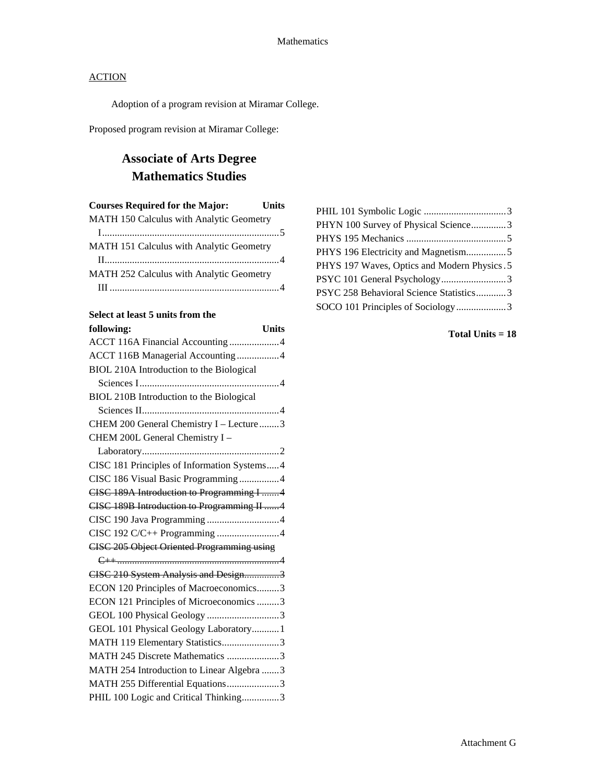Adoption of a program revision at Miramar College.

Proposed program revision at Miramar College:

# **Associate of Arts Degree Mathematics Studies**

| <b>Courses Required for the Major:</b>   | <b>Units</b> |
|------------------------------------------|--------------|
| MATH 150 Calculus with Analytic Geometry |              |
|                                          |              |
| MATH 151 Calculus with Analytic Geometry |              |
|                                          |              |
| MATH 252 Calculus with Analytic Geometry |              |
|                                          |              |

### **Select at least 5 units from the**

| following:<br><b>Units</b>                        |
|---------------------------------------------------|
| ACCT 116A Financial Accounting 4                  |
| ACCT 116B Managerial Accounting4                  |
| BIOL 210A Introduction to the Biological          |
|                                                   |
| BIOL 210B Introduction to the Biological          |
|                                                   |
| CHEM 200 General Chemistry I - Lecture3           |
| CHEM 200L General Chemistry I -                   |
|                                                   |
| CISC 181 Principles of Information Systems4       |
| CISC 186 Visual Basic Programming4                |
| CISC 189A Introduction to Programming I 4         |
| CISC 189B Introduction to Programming II 4        |
| CISC 190 Java Programming 4                       |
| CISC 192 C/C++ Programming 4                      |
| <b>CISC 205 Object Oriented Programming using</b> |
|                                                   |
| CISC 210 System Analysis and Design3              |
| ECON 120 Principles of Macroeconomics3            |
| ECON 121 Principles of Microeconomics 3           |
| GEOL 100 Physical Geology 3                       |
| GEOL 101 Physical Geology Laboratory1             |
| MATH 119 Elementary Statistics3                   |
| MATH 245 Discrete Mathematics 3                   |
| MATH 254 Introduction to Linear Algebra 3         |
| MATH 255 Differential Equations3                  |
| PHIL 100 Logic and Critical Thinking3             |

| PHYN 100 Survey of Physical Science3         |  |
|----------------------------------------------|--|
|                                              |  |
| PHYS 196 Electricity and Magnetism5          |  |
| PHYS 197 Waves, Optics and Modern Physics. 5 |  |
| PSYC 101 General Psychology3                 |  |
| PSYC 258 Behavioral Science Statistics3      |  |
| SOCO 101 Principles of Sociology3            |  |
|                                              |  |

**Total Units = 18**